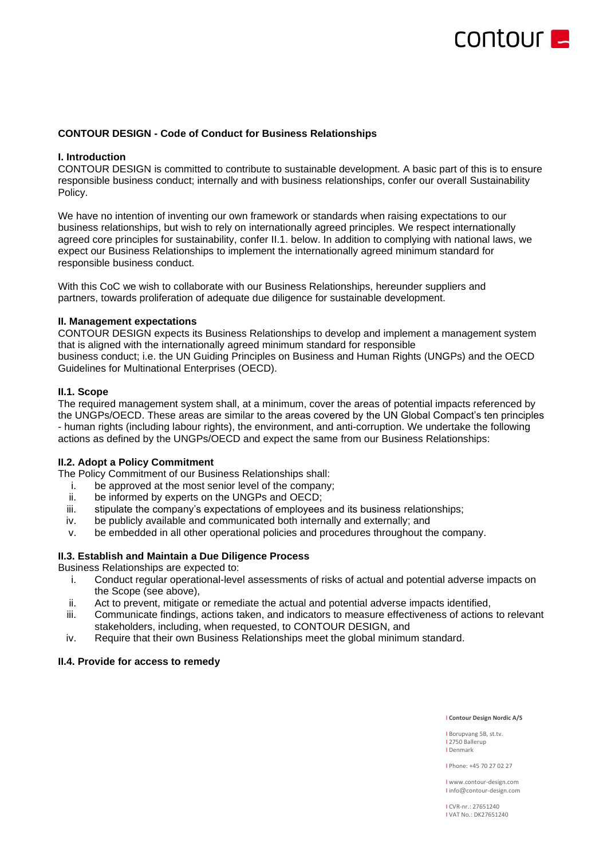# COULONLE

# **CONTOUR DESIGN - Code of Conduct for Business Relationships**

# **I. Introduction**

CONTOUR DESIGN is committed to contribute to sustainable development. A basic part of this is to ensure responsible business conduct; internally and with business relationships, confer our overall Sustainability Policy.

We have no intention of inventing our own framework or standards when raising expectations to our business relationships, but wish to rely on internationally agreed principles. We respect internationally agreed core principles for sustainability, confer II.1. below. In addition to complying with national laws, we expect our Business Relationships to implement the internationally agreed minimum standard for responsible business conduct.

With this CoC we wish to collaborate with our Business Relationships, hereunder suppliers and partners, towards proliferation of adequate due diligence for sustainable development.

# **II. Management expectations**

CONTOUR DESIGN expects its Business Relationships to develop and implement a management system that is aligned with the internationally agreed minimum standard for responsible business conduct; i.e. the UN Guiding Principles on Business and Human Rights (UNGPs) and the OECD Guidelines for Multinational Enterprises (OECD).

# **II.1. Scope**

The required management system shall, at a minimum, cover the areas of potential impacts referenced by the UNGPs/OECD. These areas are similar to the areas covered by the UN Global Compact's ten principles - human rights (including labour rights), the environment, and anti-corruption. We undertake the following actions as defined by the UNGPs/OECD and expect the same from our Business Relationships:

# **II.2. Adopt a Policy Commitment**

The Policy Commitment of our Business Relationships shall:

- i. be approved at the most senior level of the company;
- ii. be informed by experts on the UNGPs and OECD;
- iii. stipulate the company's expectations of employees and its business relationships;
- iv. be publicly available and communicated both internally and externally; and
- v. be embedded in all other operational policies and procedures throughout the company.

# **II.3. Establish and Maintain a Due Diligence Process**

Business Relationships are expected to:

- i. Conduct regular operational-level assessments of risks of actual and potential adverse impacts on the Scope (see above),
- ii. Act to prevent, mitigate or remediate the actual and potential adverse impacts identified,
- iii. Communicate findings, actions taken, and indicators to measure effectiveness of actions to relevant stakeholders, including, when requested, to CONTOUR DESIGN, and
- iv. Require that their own Business Relationships meet the global minimum standard.

### **II.4. Provide for access to remedy**

#### I **Contour Design Nordic A/S**

I Borupvang 5B, st.tv. I 2750 Ballerup I Denmark

I Phone: +45 70 27 02 27

I www.contour-design.com I info@contour-design.com

I CVR-nr.: 27651240 I VAT No.: DK27651240